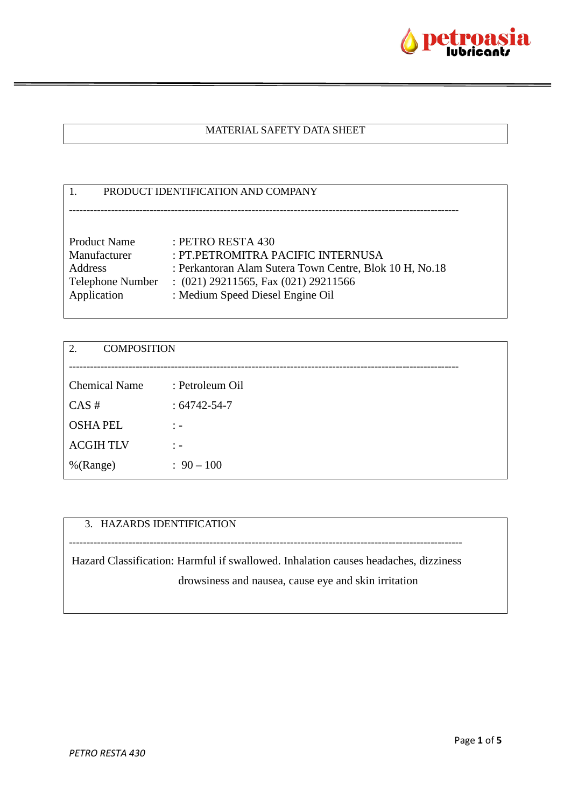

### MATERIAL SAFETY DATA SHEET

| PRODUCT IDENTIFICATION AND COMPANY |                                                         |  |
|------------------------------------|---------------------------------------------------------|--|
|                                    |                                                         |  |
|                                    |                                                         |  |
| <b>Product Name</b>                | : PETRO RESTA $430$                                     |  |
| Manufacturer                       | : PT.PETROMITRA PACIFIC INTERNUSA                       |  |
| Address                            | : Perkantoran Alam Sutera Town Centre, Blok 10 H, No.18 |  |
| <b>Telephone Number</b>            | $(021)$ 29211565, Fax $(021)$ 29211566                  |  |
| Application                        | : Medium Speed Diesel Engine Oil                        |  |
|                                    |                                                         |  |

| <b>COMPOSITION</b><br>2. |                    |  |
|--------------------------|--------------------|--|
|                          |                    |  |
| <b>Chemical Name</b>     | : Petroleum Oil    |  |
| CAS#                     | $: 64742 - 54 - 7$ |  |
| <b>OSHAPEL</b>           | $\therefore$       |  |
| <b>ACGIHTLV</b>          | $\therefore$       |  |
| %(Range)                 | $: 90 - 100$       |  |

# 3. HAZARDS IDENTIFICATION

Hazard Classification: Harmful if swallowed. Inhalation causes headaches, dizziness drowsiness and nausea, cause eye and skin irritation

----------------------------------------------------------------------------------------------------------------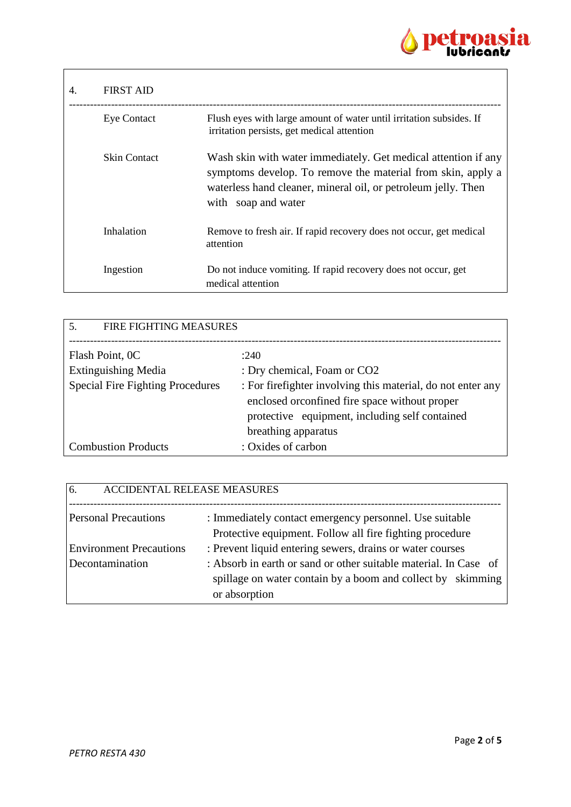

| 4. | <b>FIRST AID</b>    |                                                                                                                                                                                                                       |
|----|---------------------|-----------------------------------------------------------------------------------------------------------------------------------------------------------------------------------------------------------------------|
|    | <b>Eye Contact</b>  | Flush eyes with large amount of water until irritation subsides. If<br>irritation persists, get medical attention                                                                                                     |
|    | <b>Skin Contact</b> | Wash skin with water immediately. Get medical attention if any<br>symptoms develop. To remove the material from skin, apply a<br>waterless hand cleaner, mineral oil, or petroleum jelly. Then<br>with soap and water |
|    | Inhalation          | Remove to fresh air. If rapid recovery does not occur, get medical<br>attention                                                                                                                                       |
|    | Ingestion           | Do not induce vomiting. If rapid recovery does not occur, get<br>medical attention                                                                                                                                    |

| 5.<br><b>FIRE FIGHTING MEASURES</b>     |                                                                                                                                                                                        |  |
|-----------------------------------------|----------------------------------------------------------------------------------------------------------------------------------------------------------------------------------------|--|
| Flash Point, 0C                         | :240                                                                                                                                                                                   |  |
| <b>Extinguishing Media</b>              | : Dry chemical, Foam or CO2                                                                                                                                                            |  |
| <b>Special Fire Fighting Procedures</b> | : For firefighter involving this material, do not enter any<br>enclosed or confined fire space without proper<br>protective equipment, including self contained<br>breathing apparatus |  |
| <b>Combustion Products</b>              | : Oxides of carbon                                                                                                                                                                     |  |

| 6.<br><b>ACCIDENTAL RELEASE MEASURES</b>          |                                                                                                                                                                                                               |
|---------------------------------------------------|---------------------------------------------------------------------------------------------------------------------------------------------------------------------------------------------------------------|
| <b>Personal Precautions</b>                       | : Immediately contact emergency personnel. Use suitable<br>Protective equipment. Follow all fire fighting procedure                                                                                           |
| <b>Environment Precautions</b><br>Decontamination | : Prevent liquid entering sewers, drains or water courses<br>: Absorb in earth or sand or other suitable material. In Case of<br>spillage on water contain by a boom and collect by skimming<br>or absorption |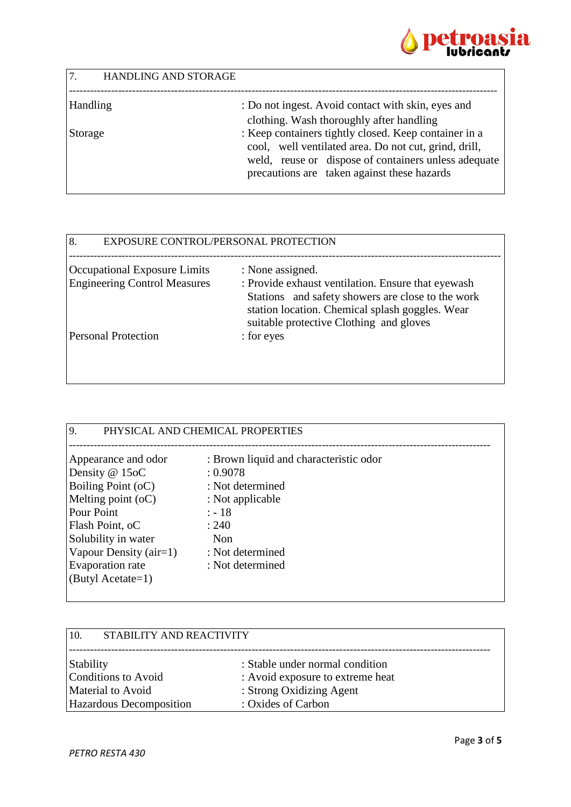

| 7.<br>HANDLING AND STORAGE |                                                                                                                                                                        |
|----------------------------|------------------------------------------------------------------------------------------------------------------------------------------------------------------------|
| Handling                   | : Do not ingest. Avoid contact with skin, eyes and                                                                                                                     |
|                            | clothing. Wash thoroughly after handling                                                                                                                               |
| Storage                    | : Keep containers tightly closed. Keep container in a<br>cool, well ventilated area. Do not cut, grind, drill,<br>weld, reuse or dispose of containers unless adequate |
|                            | precautions are taken against these hazards                                                                                                                            |

| 8.<br>EXPOSURE CONTROL/PERSONAL PROTECTION |                                                                                                                                                                                                       |
|--------------------------------------------|-------------------------------------------------------------------------------------------------------------------------------------------------------------------------------------------------------|
| <b>Occupational Exposure Limits</b>        | : None assigned.                                                                                                                                                                                      |
| <b>Engineering Control Measures</b>        | : Provide exhaust ventilation. Ensure that eyewash<br>Stations and safety showers are close to the work<br>station location. Chemical splash goggles. Wear<br>suitable protective Clothing and gloves |
| <b>Personal Protection</b>                 | : for eyes                                                                                                                                                                                            |

| : Brown liquid and characteristic odor<br>Appearance and odor<br>Density @ 15oC<br>: 0.9078<br>Boiling Point (oC)<br>: Not determined<br>Melting point $(oC)$<br>: Not applicable<br>Pour Point<br>$: -18$<br>Flash Point, oC<br>: 240<br>Solubility in water<br>Non<br>Vapour Density $(air=1)$<br>: Not determined | 9.<br>PHYSICAL AND CHEMICAL PROPERTIES |                  |  |
|----------------------------------------------------------------------------------------------------------------------------------------------------------------------------------------------------------------------------------------------------------------------------------------------------------------------|----------------------------------------|------------------|--|
| (Butyl Acetate=1)                                                                                                                                                                                                                                                                                                    | Evaporation rate                       | : Not determined |  |

| STABILITY AND REACTIVITY<br>10. |                                  |
|---------------------------------|----------------------------------|
| Stability                       | : Stable under normal condition  |
| <b>Conditions to Avoid</b>      | : Avoid exposure to extreme heat |
| Material to Avoid               | : Strong Oxidizing Agent         |
| Hazardous Decomposition         | : Oxides of Carbon               |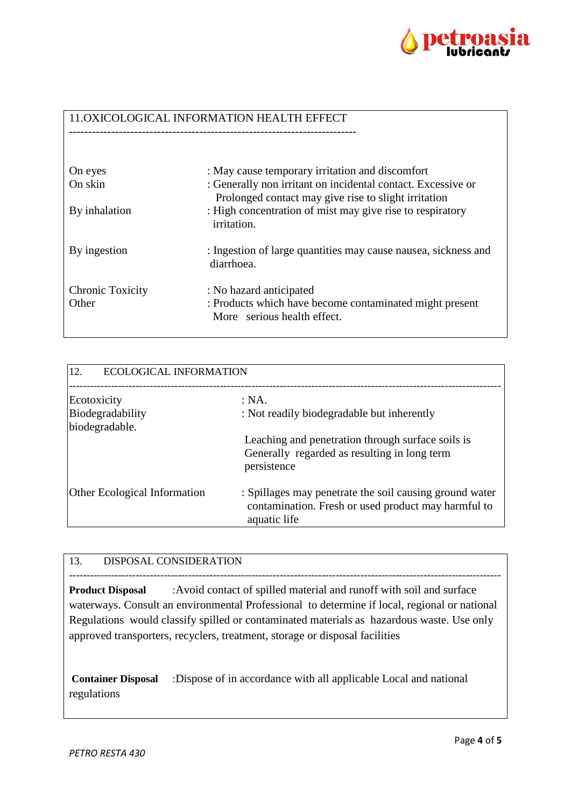

### 11.OXICOLOGICAL INFORMATION HEALTH EFFECT

| On eyes<br>On skin               | : May cause temporary irritation and discomfort<br>: Generally non irritant on incidental contact. Excessive or<br>Prolonged contact may give rise to slight irritation |
|----------------------------------|-------------------------------------------------------------------------------------------------------------------------------------------------------------------------|
| By inhalation                    | : High concentration of mist may give rise to respiratory<br><i>irritation.</i>                                                                                         |
| By ingestion                     | : Ingestion of large quantities may cause nausea, sickness and<br>diarrhoea.                                                                                            |
| <b>Chronic Toxicity</b><br>Other | : No hazard anticipated<br>: Products which have become contaminated might present<br>More serious health effect.                                                       |

| 12.<br><b>ECOLOGICAL INFORMATION</b> |                                                                                                                                |  |
|--------------------------------------|--------------------------------------------------------------------------------------------------------------------------------|--|
| Ecotoxicity                          | : NA.                                                                                                                          |  |
| Biodegradability<br>biodegradable.   | : Not readily biodegradable but inherently                                                                                     |  |
|                                      | Leaching and penetration through surface soils is<br>Generally regarded as resulting in long term<br>persistence               |  |
| <b>Other Ecological Information</b>  | : Spillages may penetrate the soil causing ground water<br>contamination. Fresh or used product may harmful to<br>aquatic life |  |

## 13. DISPOSAL CONSIDERATION

--------------------------------------------------------------------------------------------------------------------------- **Product Disposal** :Avoid contact of spilled material and runoff with soil and surface waterways. Consult an environmental Professional to determine if local, regional or national Regulations would classify spilled or contaminated materials as hazardous waste. Use only approved transporters, recyclers, treatment, storage or disposal facilities

**Container Disposal** :Dispose of in accordance with all applicable Local and national regulations